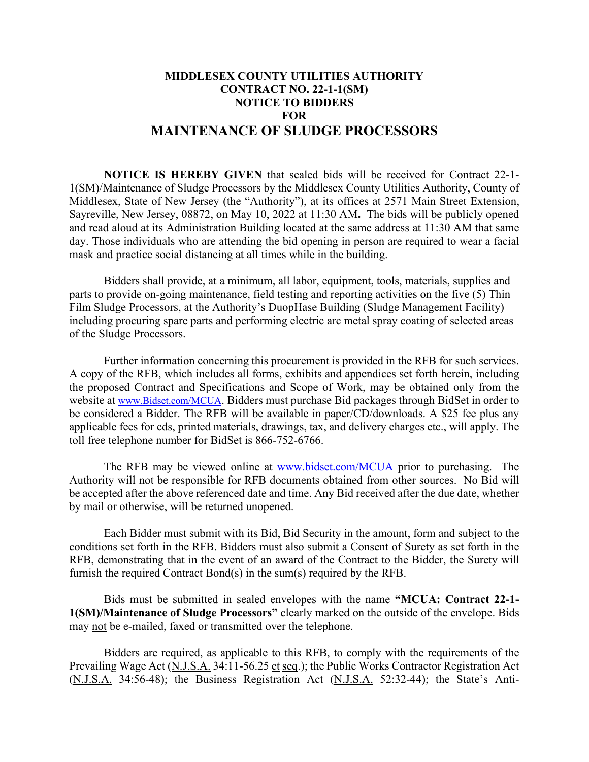## **MIDDLESEX COUNTY UTILITIES AUTHORITY CONTRACT NO. 22-1-1(SM) NOTICE TO BIDDERS FOR MAINTENANCE OF SLUDGE PROCESSORS**

**NOTICE IS HEREBY GIVEN** that sealed bids will be received for Contract 22-1- 1(SM)/Maintenance of Sludge Processors by the Middlesex County Utilities Authority, County of Middlesex, State of New Jersey (the "Authority"), at its offices at 2571 Main Street Extension, Sayreville, New Jersey, 08872, on May 10, 2022 at 11:30 AM**.** The bids will be publicly opened and read aloud at its Administration Building located at the same address at 11:30 AM that same day. Those individuals who are attending the bid opening in person are required to wear a facial mask and practice social distancing at all times while in the building.

Bidders shall provide, at a minimum, all labor, equipment, tools, materials, supplies and parts to provide on-going maintenance, field testing and reporting activities on the five (5) Thin Film Sludge Processors, at the Authority's DuopHase Building (Sludge Management Facility) including procuring spare parts and performing electric arc metal spray coating of selected areas of the Sludge Processors.

Further information concerning this procurement is provided in the RFB for such services. A copy of the RFB, which includes all forms, exhibits and appendices set forth herein, including the proposed Contract and Specifications and Scope of Work, may be obtained only from the website at [www.Bidset.com/MCUA.](http://www.bidset.com/MCUA) Bidders must purchase Bid packages through BidSet in order to be considered a Bidder. The RFB will be available in paper/CD/downloads. A \$25 fee plus any applicable fees for cds, printed materials, drawings, tax, and delivery charges etc., will apply. The toll free telephone number for BidSet is 866-752-6766.

The RFB may be viewed online at [www.bidset.com/MCUA](http://www.bidset.com/MCUA) prior to purchasing. The Authority will not be responsible for RFB documents obtained from other sources. No Bid will be accepted after the above referenced date and time. Any Bid received after the due date, whether by mail or otherwise, will be returned unopened.

Each Bidder must submit with its Bid, Bid Security in the amount, form and subject to the conditions set forth in the RFB. Bidders must also submit a Consent of Surety as set forth in the RFB, demonstrating that in the event of an award of the Contract to the Bidder, the Surety will furnish the required Contract Bond(s) in the sum(s) required by the RFB.

Bids must be submitted in sealed envelopes with the name **"MCUA: Contract 22-1- 1(SM)/Maintenance of Sludge Processors"** clearly marked on the outside of the envelope. Bids may not be e-mailed, faxed or transmitted over the telephone.

Bidders are required, as applicable to this RFB, to comply with the requirements of the Prevailing Wage Act (N.J.S.A. 34:11-56.25 et seq.); the Public Works Contractor Registration Act (N.J.S.A. 34:56-48); the Business Registration Act (N.J.S.A. 52:32-44); the State's Anti-